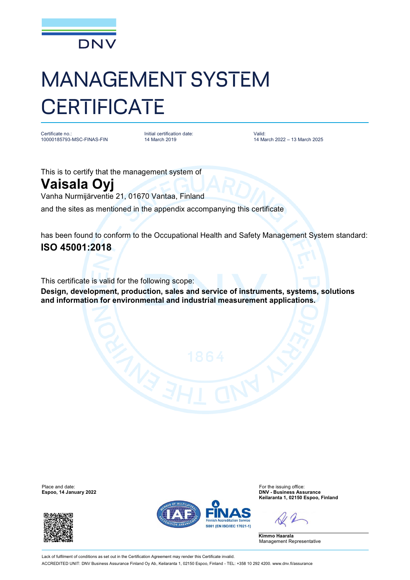

## MANAGEMENT SYSTEM **CERTIFICATE**

Certificate no.: 10000185793-MSC-FINAS-FIN Initial certification date: 14 March 2019

Valid: 14 March 2022 – 13 March 2025

This is to certify that the management system of

## **Vaisala Oyj**

Vanha Nurmijärventie 21, 01670 Vantaa, Finland

and the sites as mentioned in the appendix accompanying this certificate

has been found to conform to the Occupational Health and Safety Management System standard: **ISO 45001:2018**

This certificate is valid for the following scope:

**Design, development, production, sales and service of instruments, systems, solutions and information for environmental and industrial measurement applications.**

**Espoo, 14 January 2022** 





Place and date:<br>
For the issuing office:<br>
For the issuing office:<br> **Espoo. 14 January 2022**<br> **Espoo. 14 January 2022 Keilaranta 1, 02150 Espoo, Finland**

**Kimmo Haarala** Management Representative

Lack of fulfilment of conditions as set out in the Certification Agreement may render this Certificate invalid. ACCREDITED UNIT: DNV Business Assurance Finland Oy Ab, Keilaranta 1, 02150 Espoo, Finland - TEL: +358 10 292 4200. [www.dnv.fi/assurance](http://www.dnv.fi/assurance)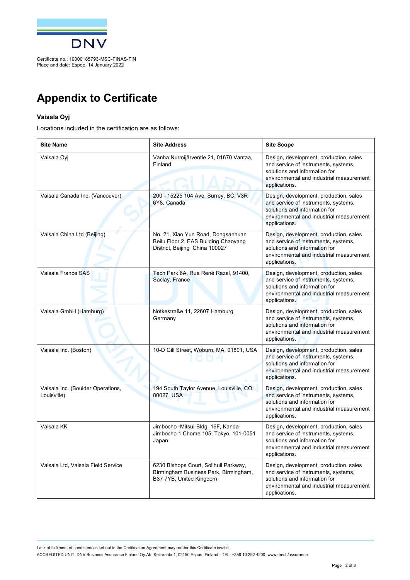

## **Appendix to Certificate**

## **Vaisala Oyj**

Locations included in the certification are as follows:

| <b>Site Name</b>                                 | <b>Site Address</b>                                                                                          | <b>Site Scope</b>                                                                                                                                                            |
|--------------------------------------------------|--------------------------------------------------------------------------------------------------------------|------------------------------------------------------------------------------------------------------------------------------------------------------------------------------|
| Vaisala Oyj                                      | Vanha Nurmijärventie 21, 01670 Vantaa,<br>Finland                                                            | Design, development, production, sales<br>and service of instruments, systems,<br>solutions and information for<br>environmental and industrial measurement<br>applications. |
| Vaisala Canada Inc. (Vancouver)                  | 200 - 15225 104 Ave, Surrey, BC, V3R<br>6Y8. Canada                                                          | Design, development, production, sales<br>and service of instruments, systems,<br>solutions and information for<br>environmental and industrial measurement<br>applications. |
| Vaisala China Ltd (Beijing)                      | No. 21, Xiao Yun Road, Dongsanhuan<br>Beilu Floor 2, EAS Building Chaoyang<br>District, Beijing China 100027 | Design, development, production, sales<br>and service of instruments, systems,<br>solutions and information for<br>environmental and industrial measurement<br>applications. |
| Vaisala France SAS                               | Tech Park 6A, Rue René Razel, 91400,<br>Saclay, France                                                       | Design, development, production, sales<br>and service of instruments, systems,<br>solutions and information for<br>environmental and industrial measurement<br>applications. |
| Vaisala GmbH (Hamburg)                           | Notkestraße 11, 22607 Hamburg,<br>Germany                                                                    | Design, development, production, sales<br>and service of instruments, systems,<br>solutions and information for<br>environmental and industrial measurement<br>applications. |
| Vaisala Inc. (Boston)                            | 10-D Gill Street, Woburn, MA, 01801, USA                                                                     | Design, development, production, sales<br>and service of instruments, systems,<br>solutions and information for<br>environmental and industrial measurement<br>applications. |
| Vaisala Inc. (Boulder Operations,<br>Louisville) | 194 South Taylor Avenue, Louisville, CO,<br>80027, USA                                                       | Design, development, production, sales<br>and service of instruments, systems,<br>solutions and information for<br>environmental and industrial measurement<br>applications. |
| Vaisala KK                                       | Jimbocho - Mitsui-Bldg. 16F, Kanda-<br>Jimbocho 1 Chome 105, Tokyo, 101-0051<br>Japan                        | Design, development, production, sales<br>and service of instruments, systems,<br>solutions and information for<br>environmental and industrial measurement<br>applications. |
| Vaisala Ltd, Vaisala Field Service               | 6230 Bishops Court, Solihull Parkway,<br>Birmingham Business Park, Birmingham,<br>B37 7YB, United Kingdom    | Design, development, production, sales<br>and service of instruments, systems,<br>solutions and information for<br>environmental and industrial measurement<br>applications. |

Lack of fulfilment of conditions as set out in the Certification Agreement may render this Certificate invalid. ACCREDITED UNIT: DNV Business Assurance Finland Oy Ab, Keilaranta 1, 02150 Espoo, Finland - TEL: +358 10 292 4200. [www.dnv.fi/assurance](http://www.dnv.fi/assurance)